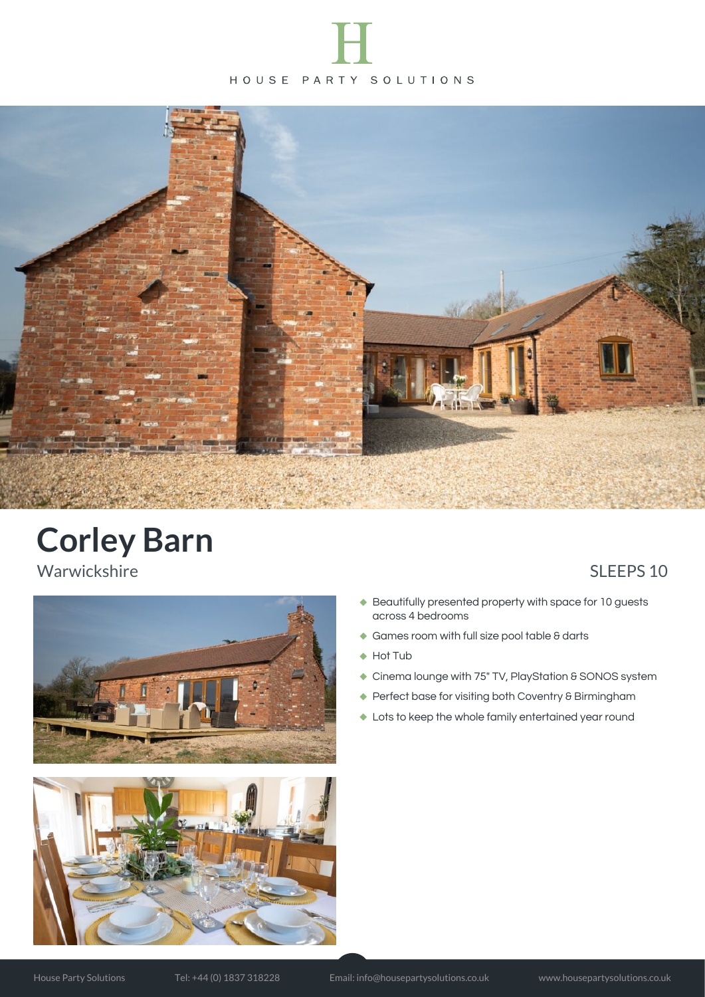



### Warwickshire SLEEPS 10





- Beautifully presented property with space for 10 guests across 4 bedrooms
- ◆ Games room with full size pool table & darts
- ◆ Hot Tub
- ◆ Cinema lounge with 75" TV, PlayStation & SONOS system
- ◆ Perfect base for visiting both Coventry & Birmingham
- $\bullet$  Lots to keep the whole family entertained year round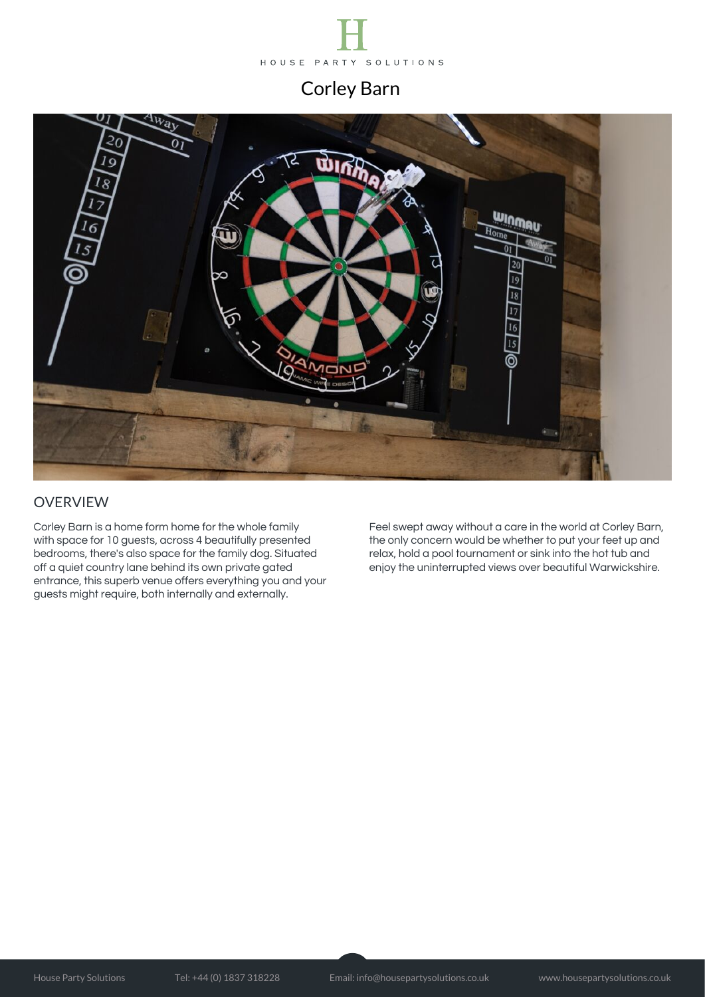



### **OVERVIEW**

Corley Barn is a home form home for the whole family with space for 10 guests, across 4 beautifully presented bedrooms, there's also space for the family dog. Situated off a quiet country lane behind its own private gated entrance, this superb venue offers everything you and your guests might require, both internally and externally.

Feel swept away without a care in the world at Corley Barn, the only concern would be whether to put your feet up and relax, hold a pool tournament or sink into the hot tub and enjoy the uninterrupted views over beautiful Warwickshire.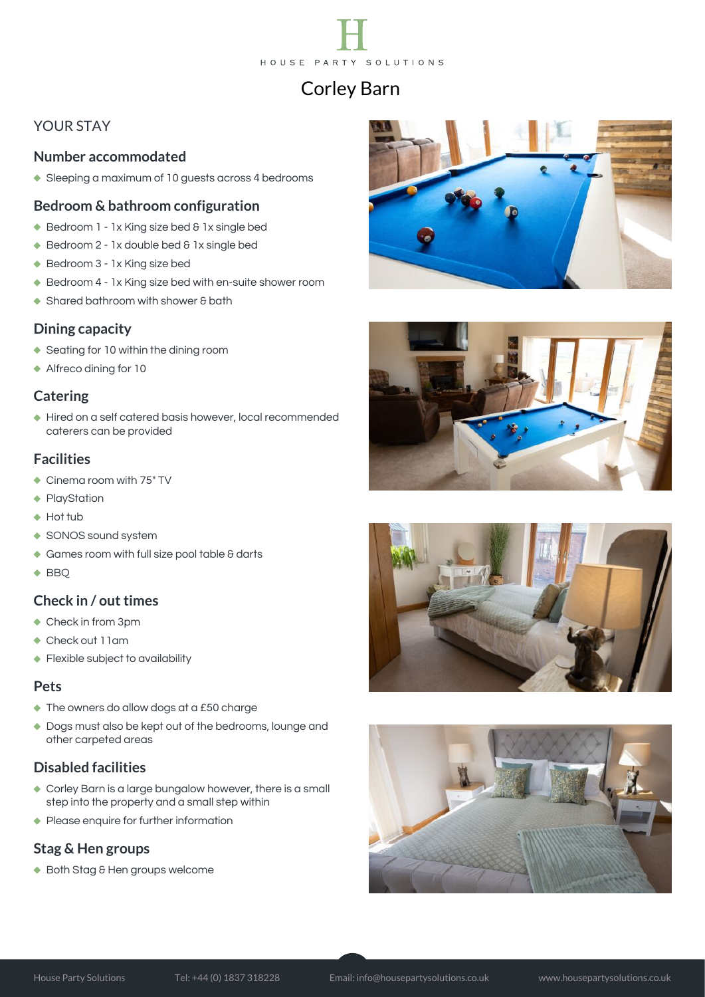

### YOUR STAY

### **Number accommodated**

◆ Sleeping a maximum of 10 guests across 4 bedrooms

### **Bedroom & bathroom configuration**

- ◆ Bedroom 1 1x King size bed & 1x single bed
- ◆ Bedroom 2 1x double bed & 1x single bed
- ◆ Bedroom 3 1x King size bed
- ◆ Bedroom 4 1x King size bed with en-suite shower room
- ◆ Shared bathroom with shower & bath

### **Dining capacity**

- ◆ Seating for 10 within the dining room
- Alfreco dining for 10

### **Catering**

Hired on a self catered basis however, local recommended caterers can be provided

### **Facilities**

- Cinema room with 75" TV A
- ◆ PlayStation
- ◆ Hot tub
- ◆ SONOS sound system
- ◆ Games room with full size pool table & darts
- $\triangle$  BBO

### **Check in / out times**

- ◆ Check in from 3pm
- Check out 11am
- ◆ Flexible subject to availability

### **Pets**

- $\triangle$  The owners do allow dogs at a £50 charge
- ◆ Dogs must also be kept out of the bedrooms, lounge and other carpeted areas

### **Disabled facilities**

- Corley Barn is a large bungalow however, there is a small step into the property and a small step within
- Please enquire for further information

### **Stag & Hen groups**

◆ Both Stag & Hen groups welcome







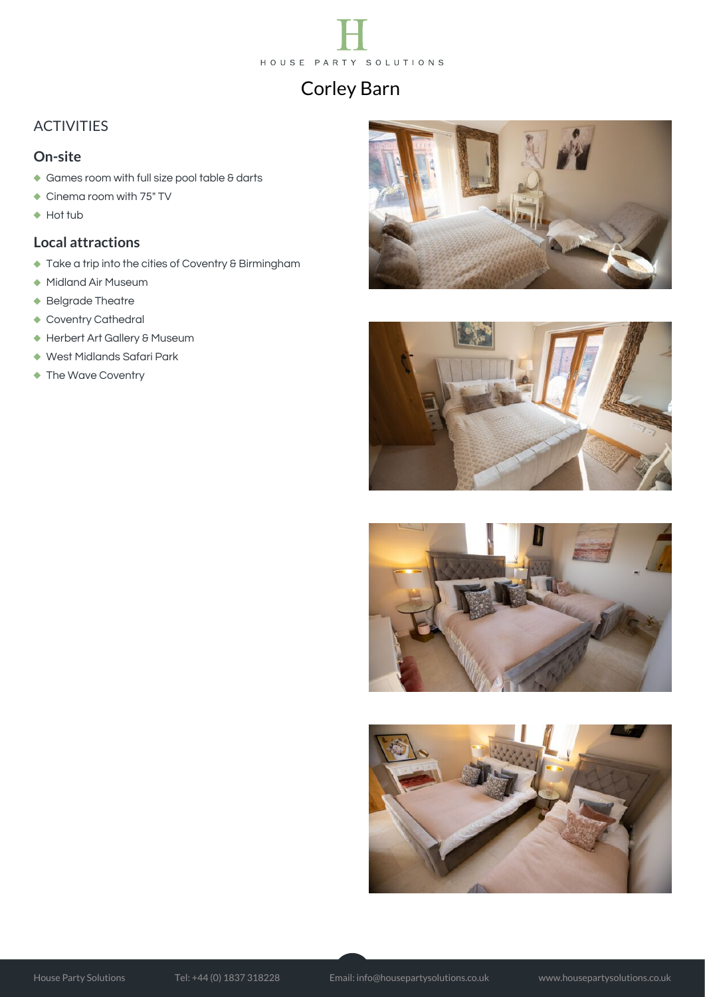

### ACTIVITIES

### **On-site**

- ◆ Games room with full size pool table & darts
- ◆ Cinema room with 75" TV
- $\triangle$  Hot tub

### **Local attractions**

- $\bullet$  Take a trip into the cities of Coventry & Birmingham
- Midland Air Museum
- ◆ Belgrade Theatre
- ◆ Coventry Cathedral
- ← Herbert Art Gallery & Museum
- West Midlands Safari Park
- ◆ The Wave Coventry







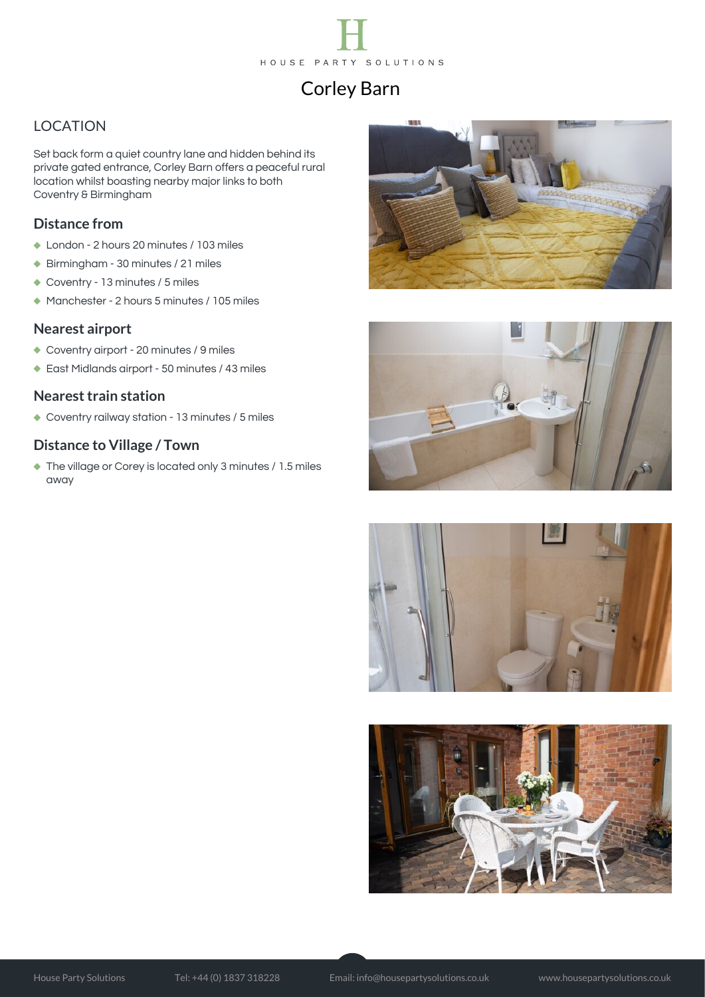

### LOCATION

Set back form a quiet country lane and hidden behind its private gated entrance, Corley Barn offers a peaceful rural location whilst boasting nearby major links to both Coventry & Birmingham

### **Distance from**

- ◆ London 2 hours 20 minutes / 103 miles
- ◆ Birmingham 30 minutes / 21 miles
- ◆ Coventry 13 minutes / 5 miles
- ◆ Manchester 2 hours 5 minutes / 105 miles

#### **Nearest airport**

- Coventry airport 20 minutes / 9 miles
- East Midlands airport 50 minutes / 43 miles

### **Nearest train station**

Coventry railway station - 13 minutes / 5 miles

### **Distance to Village / Town**

The village or Corey is located only 3 minutes / 1.5 miles away







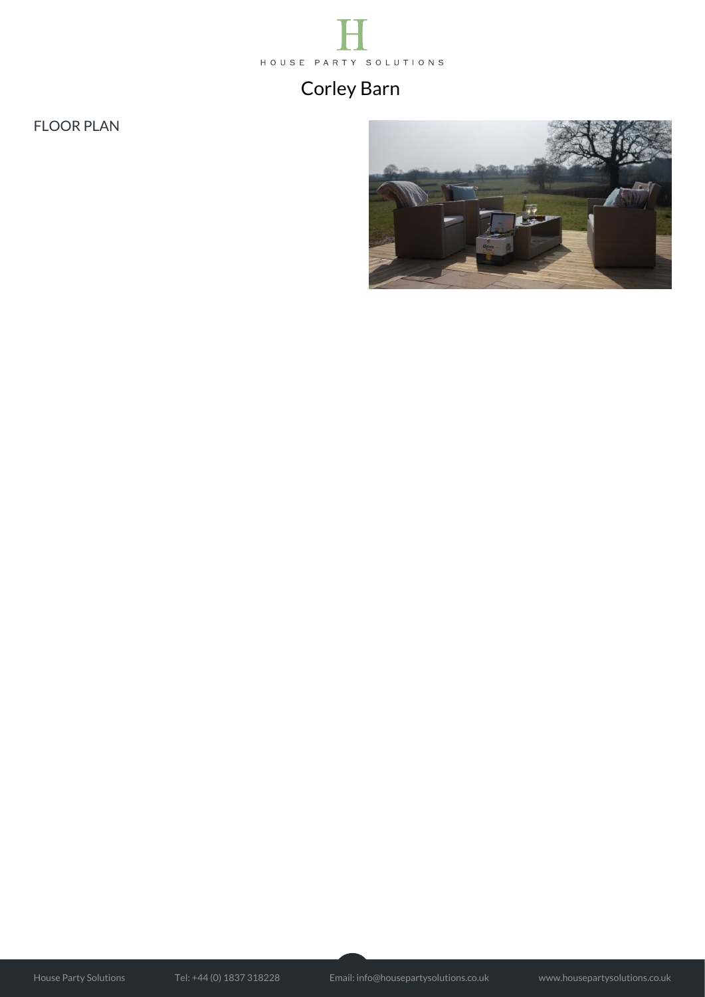

FLOOR PLAN